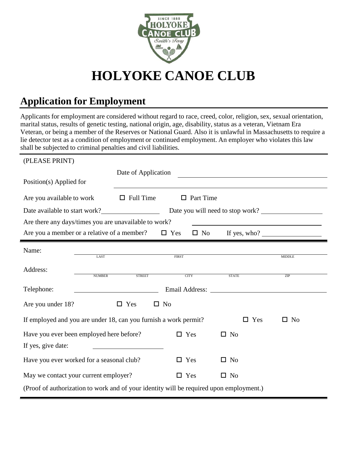

# **HOLYOKE CANOE CLUB**

# **Application for Employment**

Applicants for employment are considered without regard to race, creed, color, religion, sex, sexual orientation, marital status, results of genetic testing, national origin, age, disability, status as a veteran, Vietnam Era Veteran, or being a member of the Reserves or National Guard. Also it is unlawful in Massachusetts to require a lie detector test as a condition of employment or continued employment. An employer who violates this law shall be subjected to criminal penalties and civil liabilities.

| (PLEASE PRINT)                                                                                                                                                                                                                               |                                |                            |                              |               |  |  |
|----------------------------------------------------------------------------------------------------------------------------------------------------------------------------------------------------------------------------------------------|--------------------------------|----------------------------|------------------------------|---------------|--|--|
|                                                                                                                                                                                                                                              | Date of Application            |                            |                              |               |  |  |
| Position(s) Applied for                                                                                                                                                                                                                      |                                |                            |                              |               |  |  |
| Are you available to work                                                                                                                                                                                                                    | $\Box$ Full Time               | $\Box$ Part Time           |                              |               |  |  |
| Date available to start work?<br>Date you will need to stop work?                                                                                                                                                                            |                                |                            |                              |               |  |  |
| Are there any days/times you are unavailable to work?                                                                                                                                                                                        |                                |                            |                              |               |  |  |
| Are you a member or a relative of a member?                                                                                                                                                                                                  |                                | $\Box$ Yes<br>$\square$ No | If yes, who? $\qquad \qquad$ |               |  |  |
| Name:                                                                                                                                                                                                                                        |                                |                            |                              |               |  |  |
|                                                                                                                                                                                                                                              | <b>LAST</b>                    | FIRST                      |                              | <b>MIDDLE</b> |  |  |
| Address:                                                                                                                                                                                                                                     | <b>NUMBER</b><br><b>STREET</b> | <b>CITY</b>                | <b>STATE</b>                 | ZIP           |  |  |
|                                                                                                                                                                                                                                              |                                |                            |                              |               |  |  |
| Telephone:<br>Email Address: No. 1996. The Second Second Second Second Second Second Second Second Second Second Second Second Second Second Second Second Second Second Second Second Second Second Second Second Second Second Second Seco |                                |                            |                              |               |  |  |
| $\Box$ Yes<br>Are you under 18?<br>$\square$ No                                                                                                                                                                                              |                                |                            |                              |               |  |  |
| If employed and you are under 18, can you furnish a work permit?<br>$\square$ Yes<br>$\square$ No                                                                                                                                            |                                |                            |                              |               |  |  |
| Have you ever been employed here before?<br>$\Box$ Yes<br>$\square$ No                                                                                                                                                                       |                                |                            |                              |               |  |  |
| If yes, give date:                                                                                                                                                                                                                           |                                |                            |                              |               |  |  |
| Have you ever worked for a seasonal club?                                                                                                                                                                                                    |                                | $\Box$ Yes                 | $\square$ No                 |               |  |  |
| May we contact your current employer?                                                                                                                                                                                                        |                                | $\Box$ Yes                 | $\square$ No                 |               |  |  |
| (Proof of authorization to work and of your identity will be required upon employment.)                                                                                                                                                      |                                |                            |                              |               |  |  |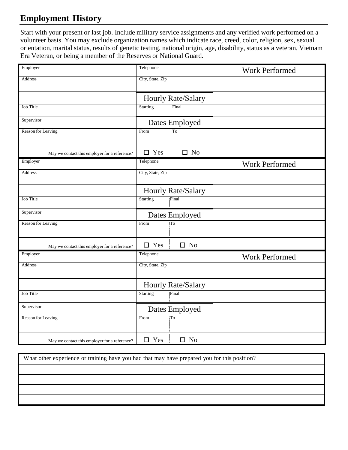## **Employment History**

Start with your present or last job. Include military service assignments and any verified work performed on a volunteer basis. You may exclude organization names which indicate race, creed, color, religion, sex, sexual orientation, marital status, results of genetic testing, national origin, age, disability, status as a veteran, Vietnam Era Veteran, or being a member of the Reserves or National Guard.

| Employer                                      | Telephone          |                        | <b>Work Performed</b> |  |
|-----------------------------------------------|--------------------|------------------------|-----------------------|--|
| <b>Address</b>                                | City, State, Zip   |                        |                       |  |
|                                               | Hourly Rate/Salary |                        |                       |  |
| Job Title                                     | <b>Starting</b>    | Final                  |                       |  |
| Supervisor                                    | Dates Employed     |                        |                       |  |
| Reason for Leaving                            | From               | $\overline{\text{To}}$ |                       |  |
| May we contact this employer for a reference? | $\square$ Yes      | $\square$ No           |                       |  |
| Employer                                      | Telephone          |                        | <b>Work Performed</b> |  |
| <b>Address</b>                                | City, State, Zip   |                        |                       |  |
|                                               | Hourly Rate/Salary |                        |                       |  |
| Job Title                                     | <b>Starting</b>    | Final                  |                       |  |
| Supervisor                                    | Dates Employed     |                        |                       |  |
| Reason for Leaving                            | From               | To                     |                       |  |
| May we contact this employer for a reference? | $\Box$ Yes         | $\Box$ No              |                       |  |
| Employer                                      | Telephone          |                        | <b>Work Performed</b> |  |
| Address                                       | City, State, Zip   |                        |                       |  |
|                                               | Hourly Rate/Salary |                        |                       |  |
| Job Title                                     | <b>Starting</b>    | Final                  |                       |  |
| Supervisor                                    | Dates Employed     |                        |                       |  |
| Reason for Leaving                            | From<br>To         |                        |                       |  |
| May we contact this employer for a reference? | $\square$ Yes      | $\square$ No           |                       |  |

What other experience or training have you had that may have prepared you for this position?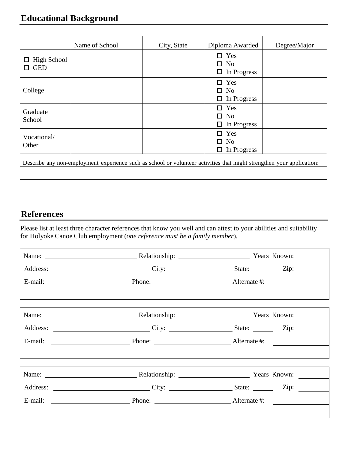### **Educational Background**

|                                                                                                                       | Name of School | City, State | Diploma Awarded                                      | Degree/Major |  |
|-----------------------------------------------------------------------------------------------------------------------|----------------|-------------|------------------------------------------------------|--------------|--|
| High School<br>ப<br><b>GED</b><br>LΙ                                                                                  |                |             | Yes<br>П<br><b>No</b><br>п<br>In Progress<br>$\Box$  |              |  |
| College                                                                                                               |                |             | Yes<br>п<br>N <sub>0</sub><br>п<br>In Progress<br>□  |              |  |
| Graduate<br>School                                                                                                    |                |             | Yes<br>п<br>N <sub>0</sub><br>п<br>In Progress<br>◻  |              |  |
| Vocational/<br>Other                                                                                                  |                |             | Yes<br>LΙ<br>N <sub>o</sub><br>п<br>In Progress<br>◻ |              |  |
| Describe any non-employment experience such as school or volunteer activities that might strengthen your application: |                |             |                                                      |              |  |
|                                                                                                                       |                |             |                                                      |              |  |
|                                                                                                                       |                |             |                                                      |              |  |

#### **References**

Please list at least three character references that know you well and can attest to your abilities and suitability for Holyoke Canoe Club employment (*one reference must be a family member*)*.*

|  | Name: Name: Name: Nelationship: Nelationship: Nears Known:                                           |  |
|--|------------------------------------------------------------------------------------------------------|--|
|  |                                                                                                      |  |
|  |                                                                                                      |  |
|  |                                                                                                      |  |
|  |                                                                                                      |  |
|  | Name: Name: Nelationship: Nelationship: Nears Known: Nears Known:                                    |  |
|  | Address: _____________________________City: _______________________State: ____________Zip: _________ |  |
|  |                                                                                                      |  |
|  |                                                                                                      |  |
|  | Name: Name: Name: Name: Nelationship: Nelationship: Nears Known: Nears Known:                        |  |
|  |                                                                                                      |  |
|  |                                                                                                      |  |
|  |                                                                                                      |  |
|  |                                                                                                      |  |